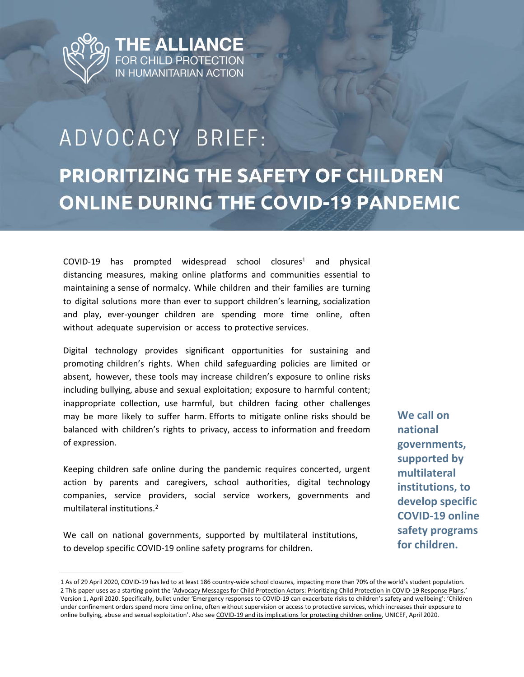

## ADVOCACY BRIEF: **PRIORITIZING THE SAFETY OF CHILDREN ONLINE DURING THE COVID-19 PANDEMIC**

 $COVID-19$  has prompted widespread school closures<sup>1</sup> and physical distancing measures, making online platforms and communities essential to maintaining a sense of normalcy. While children and their families are turning to digital solutions more than ever to support children's learning, socialization and play, ever-younger children are spending more time online, often without adequate supervision or access to protective services.

Digital technology provides significant opportunities for sustaining and promoting children's rights. When child safeguarding policies are limited or absent, however, these tools may increase children's exposure to online risks including bullying, abuse and sexual exploitation; exposure to harmful content; inappropriate collection, use harmful, but children facing other challenges may be more likely to suffer harm. Efforts to mitigate online risks should be balanced with children's rights to privacy, access to information and freedom of expression.

Keeping children safe online during the pandemic requires concerted, urgent action by parents and caregivers, school authorities, digital technology companies, service providers, social service workers, governments and multilateral institutions.<sup>2</sup>

We call on national governments, supported by multilateral institutions, to develop specific COVID-19 online safety programs for children.

**We call on national governments, supported by multilateral institutions, to develop specific COVID-19 online safety programs for children.**

<sup>1</sup> As of 29 April 2020, COVID-19 has led to at least 186 [country-wide school closures,](https://en.unesco.org/covid19/educationresponse) impacting more than 70% of the world's student population. 2 This paper uses as a starting point the '[Advocacy Messages for Child Protection Actors: Prioritizing Child Protection in COVID-19 Response Plans.](https://www.alliancecpha.org/en/covid19advocacy)' Version 1, April 2020. Specifically, bullet under 'Emergency responses to COVID-19 can exacerbate risks to children's safety and wellbeing': 'Children under confinement orders spend more time online, often without supervision or access to protective services, which increases their exposure to online bullying, abuse and sexual exploitation'. Also see [COVID-19 and its implications for protecting children online](https://www.unicef.org/media/67396/file/COVID-19%20and%20Its%20Implications%20for%20Protecting%20Children%20Online.pdf), UNICEF, April 2020.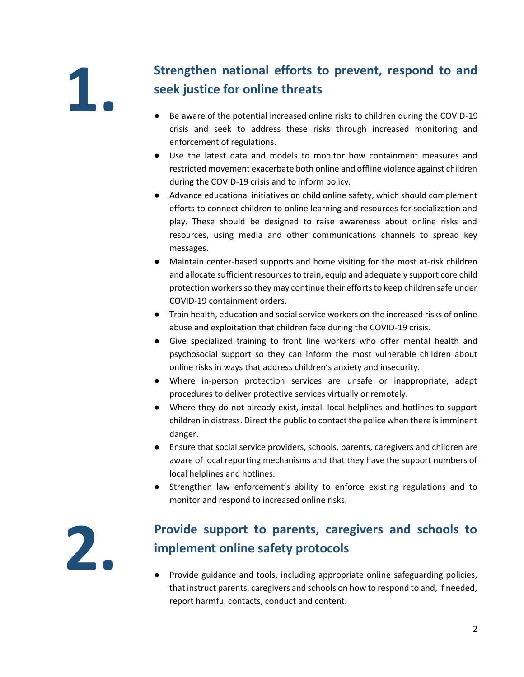# **1.**

### **Strengthen national efforts to prevent, respond to and seek justice for online threats**

- Be aware of the potential increased online risks to children during the COVID-19 crisis and seek to address these risks through increased monitoring and enforcement of regulations.
- Use the latest data and models to monitor how containment measures and restricted movement exacerbate both online and offline violence against children during the COVID-19 crisis and to inform policy.
- Advance educational initiatives on child online safety, which should complement efforts to connect children to online learning and resources for socialization and play. These should be designed to raise awareness about online risks and resources, using media and other communications channels to spread key messages.
- Maintain center-based supports and home visiting for the most at-risk children and allocate sufficient resources to train, equip and adequately support core child protection workers so they may continue their efforts to keep children safe under COVID-19 containment orders.
- Train health, education and social service workers on the increased risks of online abuse and exploitation that children face during the COVID-19 crisis.
- Give specialized training to front line workers who offer mental health and psychosocial support so they can inform the most vulnerable children about online risks in ways that address children's anxiety and insecurity.
- Where in-person protection services are unsafe or inappropriate, adapt procedures to deliver protective services virtually or remotely.
- Where they do not already exist, install local helplines and hotlines to support children in distress. Direct the public to contact the police when there is imminent danger.
- Ensure that social service providers, schools, parents, caregivers and children are aware of local reporting mechanisms and that they have the support numbers of local helplines and hotlines.
- Strengthen law enforcement's ability to enforce existing regulations and to monitor and respond to increased online risks.

**2.**

#### **Provide support to parents, caregivers and schools to implement online safety protocols**

● Provide guidance and tools, including appropriate online safeguarding policies, that instruct parents, caregivers and schools on how to respond to and, if needed, report harmful contacts, conduct and content.